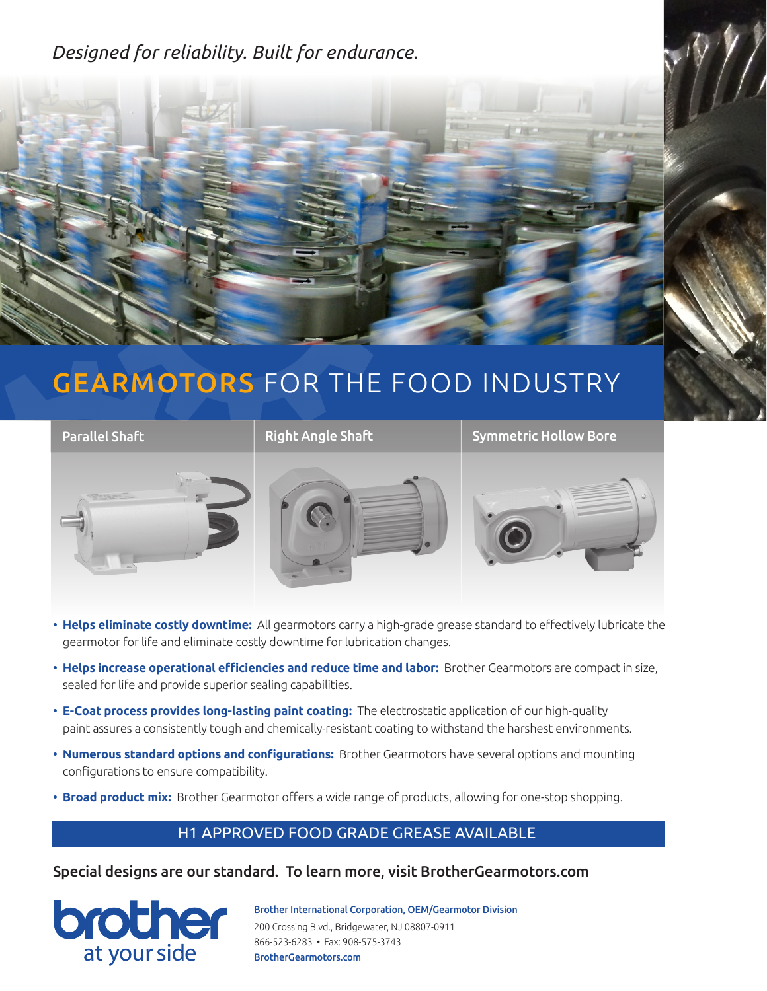### *Designed for reliability. Built for endurance.*



# GEARMOTORS FOR THE FOOD INDUSTRY



- **Helps eliminate costly downtime:** All gearmotors carry a high-grade grease standard to effectively lubricate the gearmotor for life and eliminate costly downtime for lubrication changes.
- **Helps increase operational efficiencies and reduce time and labor:** Brother Gearmotors are compact in size, sealed for life and provide superior sealing capabilities.
- **E-Coat process provides long-lasting paint coating:** The electrostatic application of our high-quality paint assures a consistently tough and chemically-resistant coating to withstand the harshest environments.
- **Numerous standard options and configurations:** Brother Gearmotors have several options and mounting configurations to ensure compatibility.
- **Broad product mix:** Brother Gearmotor offers a wide range of products, allowing for one-stop shopping.

#### H1 APPROVED FOOD GRADE GREASE AVAILABLE

Special designs are our standard. To learn more, visit BrotherGearmotors.com



Brother International Corporation, OEM/Gearmotor Division 200 Crossing Blvd., Bridgewater, NJ 08807-0911 866-523-6283 • Fax: 908-575-3743 BrotherGearmotors.com